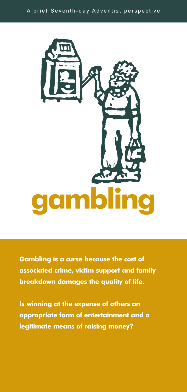

**Gambling is a curse because the cost of associated crime, victim support and family breakdown damages the quality of life.**

**Is winning at the expense of others an appropriate form of entertainment and a legitimate means of raising money?**